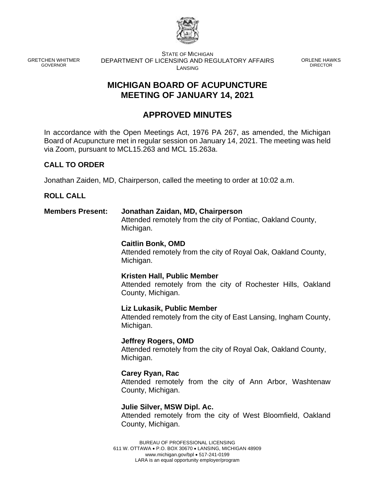

GRETCHEN WHITMER GOVERNOR

STATE OF MICHIGAN DEPARTMENT OF LICENSING AND REGULATORY AFFAIRS LANSING

ORLENE HAWKS DIRECTOR

# **MICHIGAN BOARD OF ACUPUNCTURE MEETING OF JANUARY 14, 2021**

# **APPROVED MINUTES**

In accordance with the Open Meetings Act, 1976 PA 267, as amended, the Michigan Board of Acupuncture met in regular session on January 14, 2021. The meeting was held via Zoom, pursuant to MCL15.263 and MCL 15.263a.

# **CALL TO ORDER**

Jonathan Zaiden, MD, Chairperson, called the meeting to order at 10:02 a.m.

## **ROLL CALL**

## **Members Present: Jonathan Zaidan, MD, Chairperson** Attended remotely from the city of Pontiac, Oakland County, Michigan.

## **Caitlin Bonk, OMD**

Attended remotely from the city of Royal Oak, Oakland County, Michigan.

## **Kristen Hall, Public Member**

Attended remotely from the city of Rochester Hills, Oakland County, Michigan.

#### **Liz Lukasik, Public Member**

Attended remotely from the city of East Lansing, Ingham County, Michigan.

**Jeffrey Rogers, OMD** Attended remotely from the city of Royal Oak, Oakland County, Michigan.

## **Carey Ryan, Rac**

Attended remotely from the city of Ann Arbor, Washtenaw County, Michigan.

#### **Julie Silver, MSW Dipl. Ac.**

Attended remotely from the city of West Bloomfield, Oakland County, Michigan.

BUREAU OF PROFESSIONAL LICENSING 611 W. OTTAWA • P.O. BOX 30670 • LANSING, MICHIGAN 48909 www.michigan.gov/bpl • 517-241-0199 LARA is an equal opportunity employer/program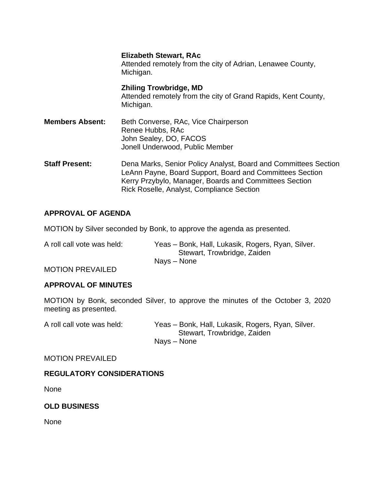|                        | <b>Elizabeth Stewart, RAc</b><br>Attended remotely from the city of Adrian, Lenawee County,<br>Michigan.                                                                                                                           |
|------------------------|------------------------------------------------------------------------------------------------------------------------------------------------------------------------------------------------------------------------------------|
|                        | <b>Zhiling Trowbridge, MD</b><br>Attended remotely from the city of Grand Rapids, Kent County,<br>Michigan.                                                                                                                        |
| <b>Members Absent:</b> | Beth Converse, RAc, Vice Chairperson<br>Renee Hubbs, RAc<br>John Sealey, DO, FACOS<br>Jonell Underwood, Public Member                                                                                                              |
| <b>Staff Present:</b>  | Dena Marks, Senior Policy Analyst, Board and Committees Section<br>LeAnn Payne, Board Support, Board and Committees Section<br>Kerry Przybylo, Manager, Boards and Committees Section<br>Rick Roselle, Analyst, Compliance Section |

# **APPROVAL OF AGENDA**

MOTION by Silver seconded by Bonk, to approve the agenda as presented.

A roll call vote was held: Yeas – Bonk, Hall, Lukasik, Rogers, Ryan, Silver. Stewart, Trowbridge, Zaiden Nays – None

MOTION PREVAILED

#### **APPROVAL OF MINUTES**

MOTION by Bonk, seconded Silver, to approve the minutes of the October 3, 2020 meeting as presented.

A roll call vote was held: Yeas – Bonk, Hall, Lukasik, Rogers, Ryan, Silver. Stewart, Trowbridge, Zaiden Nays – None

#### MOTION PREVAILED

## **REGULATORY CONSIDERATIONS**

None

## **OLD BUSINESS**

None